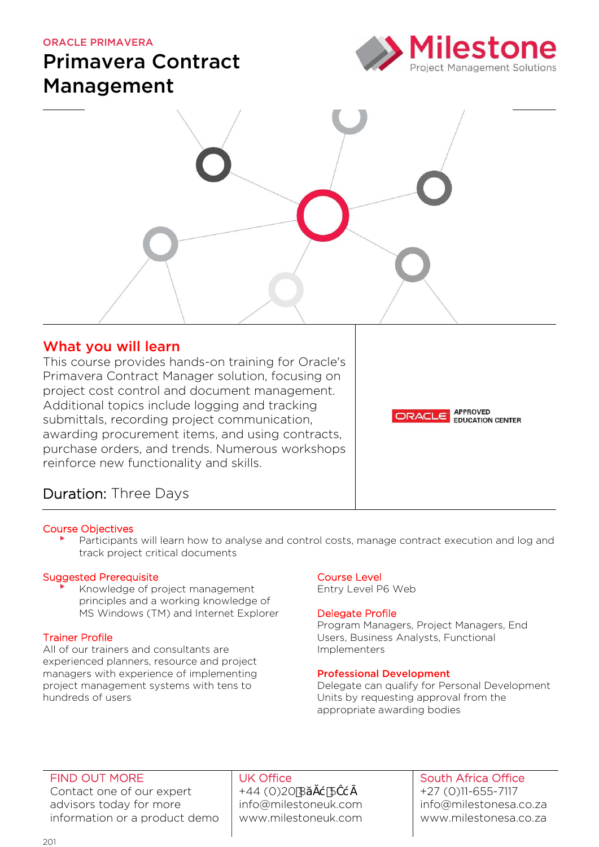#### ORACLE PRIMAVERA

# Primavera Contract Management





# What you will learn

This course provides hands-on training for Oracle's Primavera Contract Manager solution, focusing on project cost control and document management. Additional topics include logging and tracking submittals, recording project communication, awarding procurement items, and using contracts, purchase orders, and trends. Numerous workshops reinforce new functionality and skills.

**APPROVED** ORACLE **EDUCATION CENTER** 

# Duration: Three Days

#### Course Objectives

Participants will learn how to analyse and control costs, manage contract execution and log and track project critical documents

#### Suggested Prerequisite

Knowledge of project management principles and a working knowledge of MS Windows (TM) and Internet Explorer

# Trainer Profile

All of our trainers and consultants are experienced planners, resource and project managers with experience of implementing project management systems with tens to hundreds of users

# Course Level

Entry Level P6 Web

#### Delegate Profile

Program Managers, Project Managers, End Users, Business Analysts, Functional Implementers

#### Professional Development

Delegate can qualify for Personal Development Units by requesting approval from the appropriate awarding bodies

## FIND OUT MORE

Contact one of our expert advisors today for more information or a product demo

## UK Office  $+44(0)208$  5 info@milestoneuk.com [www.milestoneuk.com](http://www.milestoneuk.com/)

## South Africa Office +27 (0)11-655-7117 info@milestonesa.co.za www.milestonesa.co.za